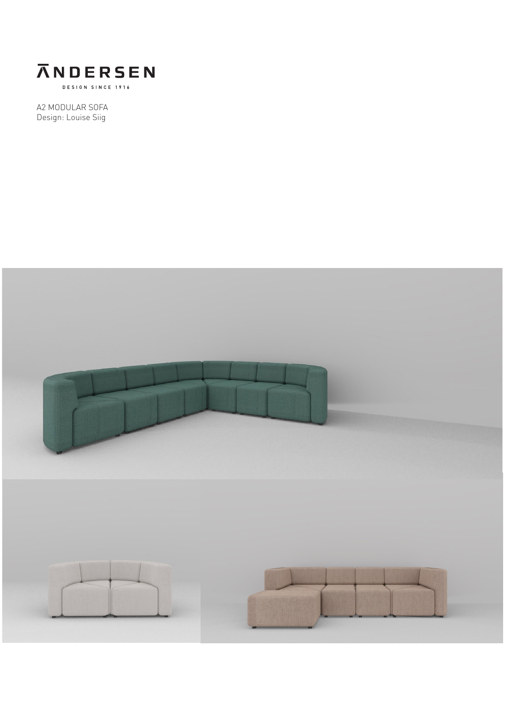

A2 MODULAR SOFA Design: Louise Siig

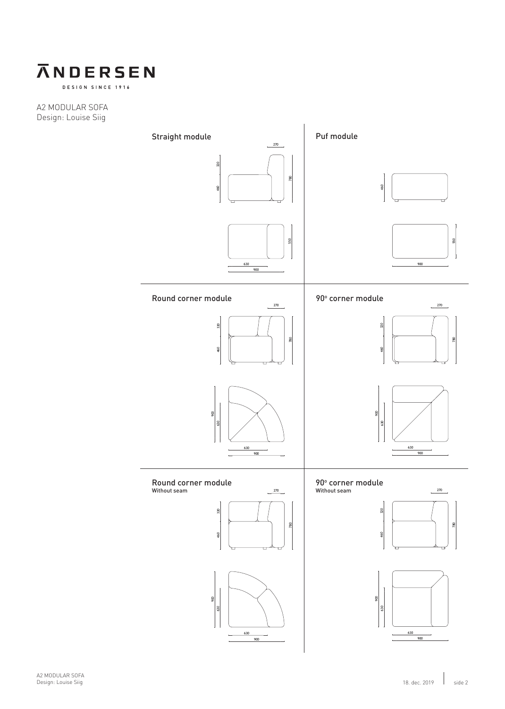

DESIGN SINCE 1916

A2 MODULAR SOFA Design: Louise Siig

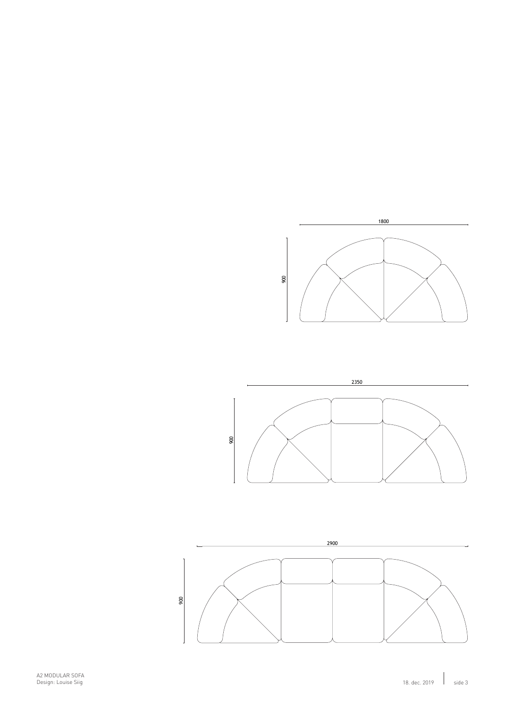





A2 MODULAR SOFA Design: Louise Siig 18. dec. 2019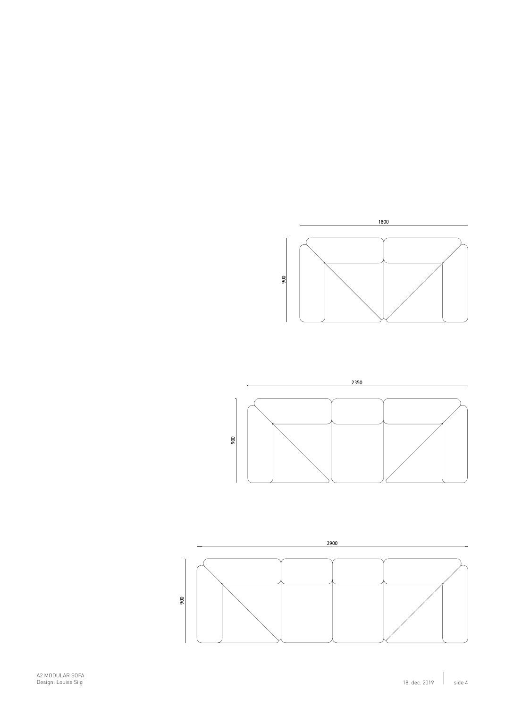





A2 MODULAR SOFA Design: Louise Siig 18. dec. 2019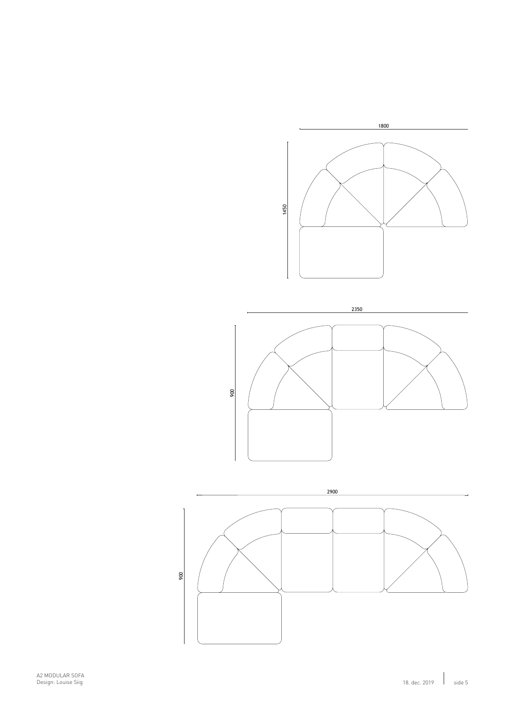

2350



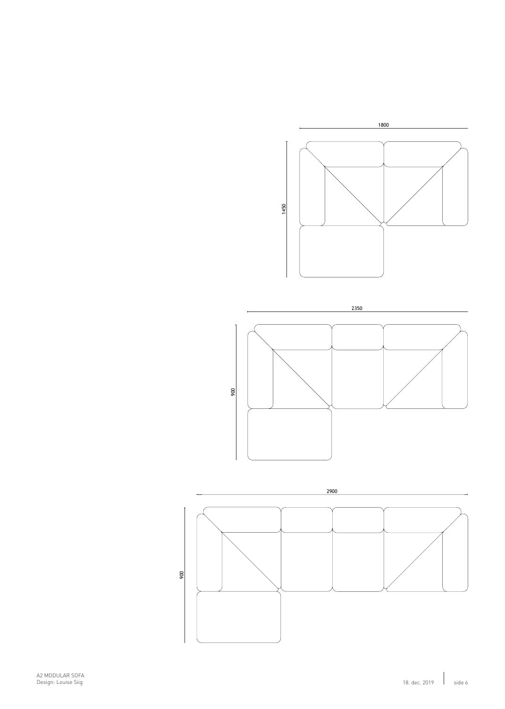



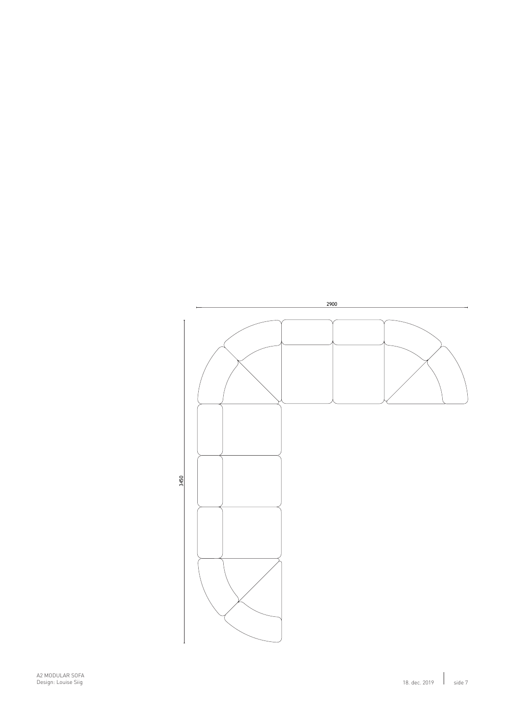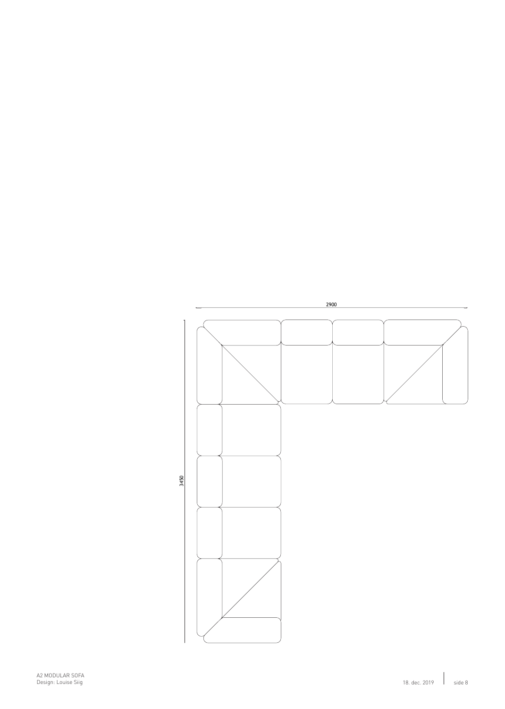